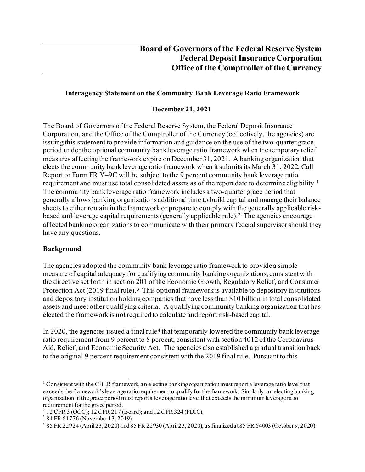### **Interagency Statement on the Community Bank Leverage Ratio Framework**

### **December 21, 2021**

The Board of Governors of the Federal Reserve System, the Federal Deposit Insurance Corporation, and the Office of the Comptroller of the Currency (collectively, the agencies) are issuing this statement to provide information and guidance on the use of the two-quarter grace period under the optional community bank leverage ratio framework when the temporary relief measures affecting the framework expire on December 31, 2021. A banking organization that elects the community bank leverage ratio framework when it submits its March 31, 2022, Call Report or Form FR Y–9C will be subject to the 9 percent community bank leverage ratio requirement and must use total consolidated assets as of the report date to determine eligibility.<sup>[1](#page-0-0)</sup> The community bank leverage ratio framework includes a two-quarter grace period that generally allows banking organizations additional time to build capital and manage their balance sheets to either remain in the framework or prepare to comply with the generally applicable riskbased and leverage capital requirements (generally applicable rule)[.2](#page-0-1) The agencies encourage affected banking organizations to communicate with their primary federal supervisor should they have any questions.

#### **Background**

The agencies adopted the community bank leverage ratio framework to provide a simple measure of capital adequacy for qualifying community banking organizations, consistent with the directive set forth in section 201 of the Economic Growth, Regulatory Relief, and Consumer Protection Act  $(2019 \text{ final rule})$ .<sup>[3](#page-0-2)</sup> This optional framework is available to depository institutions and depository institution holding companies that have less than \$10 billion in total consolidated assets and meet other qualifying criteria. A qualifying community banking organization that has elected the framework is not required to calculate and report risk-based capital.

In 2020, the agencies issued a final rule<sup>[4](#page-0-3)</sup> that temporarily lowered the community bank leverage ratio requirement from 9 percent to 8 percent, consistent with section 4012 of the Coronavirus Aid, Relief, and Economic Security Act. The agencies also established a gradual transition back to the original 9 percent requirement consistent with the 2019 final rule. Pursuant to this

<span id="page-0-0"></span><sup>&</sup>lt;sup>1</sup> Consistent with the CBLR framework, an electing banking organization must report a leverage ratio level that exceedsthe framework's leverage ratio requirement to qualify for the framework. Similarly, an electing banking organization in the grace period must report a leverage ratio level that exceeds the minimum leverage ratio

<span id="page-0-1"></span>requirement for the grace period.<br><sup>2</sup> 12 CFR 3 (OCC); 12 CFR 217 (Board); and 12 CFR 324 (FDIC).<br><sup>3</sup> 84 FR 61776 (November 13, 2019).

<span id="page-0-2"></span>

<span id="page-0-3"></span><sup>4</sup> 85 FR 22924 (April 23, 2020) and 85 FR 22930 (April 23, 2020), as finalized at 85 FR 64003 (October 9, 2020).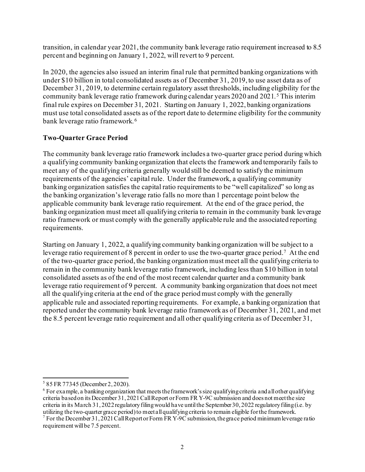transition, in calendar year 2021, the community bank leverage ratio requirement increased to 8.5 percent and beginning on January 1, 2022, will revert to 9 percent.

In 2020, the agencies also issued an interim final rule that permitted banking organizations with under \$10 billion in total consolidated assets as of December 31, 2019, to use asset data as of December 31, 2019, to determine certain regulatory asset thresholds, including eligibility for the community bank leverage ratio framework during calendar years 2020 and 2021. [5](#page-1-0) This interim final rule expires on December 31, 2021. Starting on January 1, 2022, banking organizations must use total consolidated assets as of the report date to determine eligibility for the community bank leverage ratio framework.<sup>[6](#page-1-1)</sup>

## **Two-Quarter Grace Period**

The community bank leverage ratio framework includes a two-quarter grace period during which a qualifying community banking organization that elects the framework and temporarily fails to meet any of the qualifying criteria generally would still be deemed to satisfy the minimum requirements of the agencies' capital rule. Under the framework, a qualifying community banking organization satisfies the capital ratio requirements to be "well capitalized" so long as the banking organization's leverage ratio falls no more than 1 percentage point below the applicable community bank leverage ratio requirement. At the end of the grace period, the banking organization must meet all qualifying criteria to remain in the community bank leverage ratio framework or must comply with the generally applicable rule and the associated reporting requirements.

Starting on January 1, 2022, a qualifying community banking organization will be subject to a leverage ratio requirement of 8 percent in order to use the two-quarter grace period.[7](#page-1-2) At the end of the two-quarter grace period, the banking organization must meet all the qualifying criteria to remain in the community bank leverage ratio framework, including less than \$10 billion in total consolidated assets as of the end of the most recent calendar quarter and a community bank leverage ratio requirement of 9 percent. A community banking organization that does not meet all the qualifying criteria at the end of the grace period must comply with the generally applicable rule and associated reporting requirements. For example, a banking organization that reported under the community bank leverage ratio framework as of December 31, 2021, and met the 8.5 percent leverage ratio requirement and all other qualifying criteria as of December 31,

<span id="page-1-0"></span><sup>5</sup> 85 FR 77345 (December 2, 2020).

<span id="page-1-1"></span> $6$  For example, a banking organization that meets the framework's size qualifying criteria and all other qualifying criteria based on its December 31, 2021 Call Report or Form FR Y-9C submission and does not meet the size criteria in its March 31, 2022 regulatory filing would have until the September 30, 2022 regulatory filing (i.e. by utilizing the two-quarter grace period) to meet all qualifying criteria to remain eligible for the framewo

<span id="page-1-2"></span><sup>&</sup>lt;sup>7</sup> For the December 31, 2021 Call Report or Form FR Y-9C submission, the grace period minimum leverage ratio requirement will be 7.5 percent.